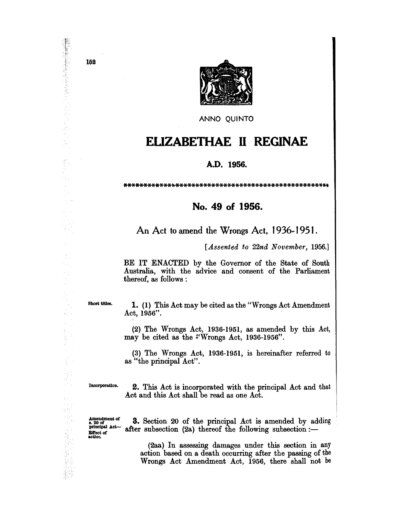

ANNO QUINTO

## **ELIZABETHAE II REGINAE**

## A.D. 1956.

## No. 49 of 1956.

An Act to amend the Wrongs Act, 1936-1951.

[Assented to 22nd November, 1956.]

BE IT ENACTED by the Governor of the State of South Australia, with the advice and consent of the Parliament thereof, as follows :

Short titles.

 $\mathcal{A}_\infty$ 

 $\frac{1}{2}$  ,  $\frac{1}{2}$ 

iki<br>S  $\frac{1}{2}$ 

重 i<sup>n</sup> y

천리

1. (1) This Act may be cited as the "Wrongs Act Amendment" Act,  $1956$ .

(2) The Wrongs Act, 1936-1951, as amended by this Act, may be cited as the "Wrongs Act, 1936-1956".

(3) The Wrongs Act, 1936-1951, is hereinafter referred to as "the principal Act".

Incorporation.

2. This Act is incorporated with the principal Act and that Act and this Act shall be read as one Act.

Amendment of<br>s. 20 of<br>principal Act-Effect of<br>action

**3.** Section 20 of the principal Act is amended by adding after subsection  $(2a)$  thereof the following subsection :-

(2aa) In assessing damages under this section in any action based on a death occurring after the passing of the Wrongs Act Amendment Act, 1956, there shall not be